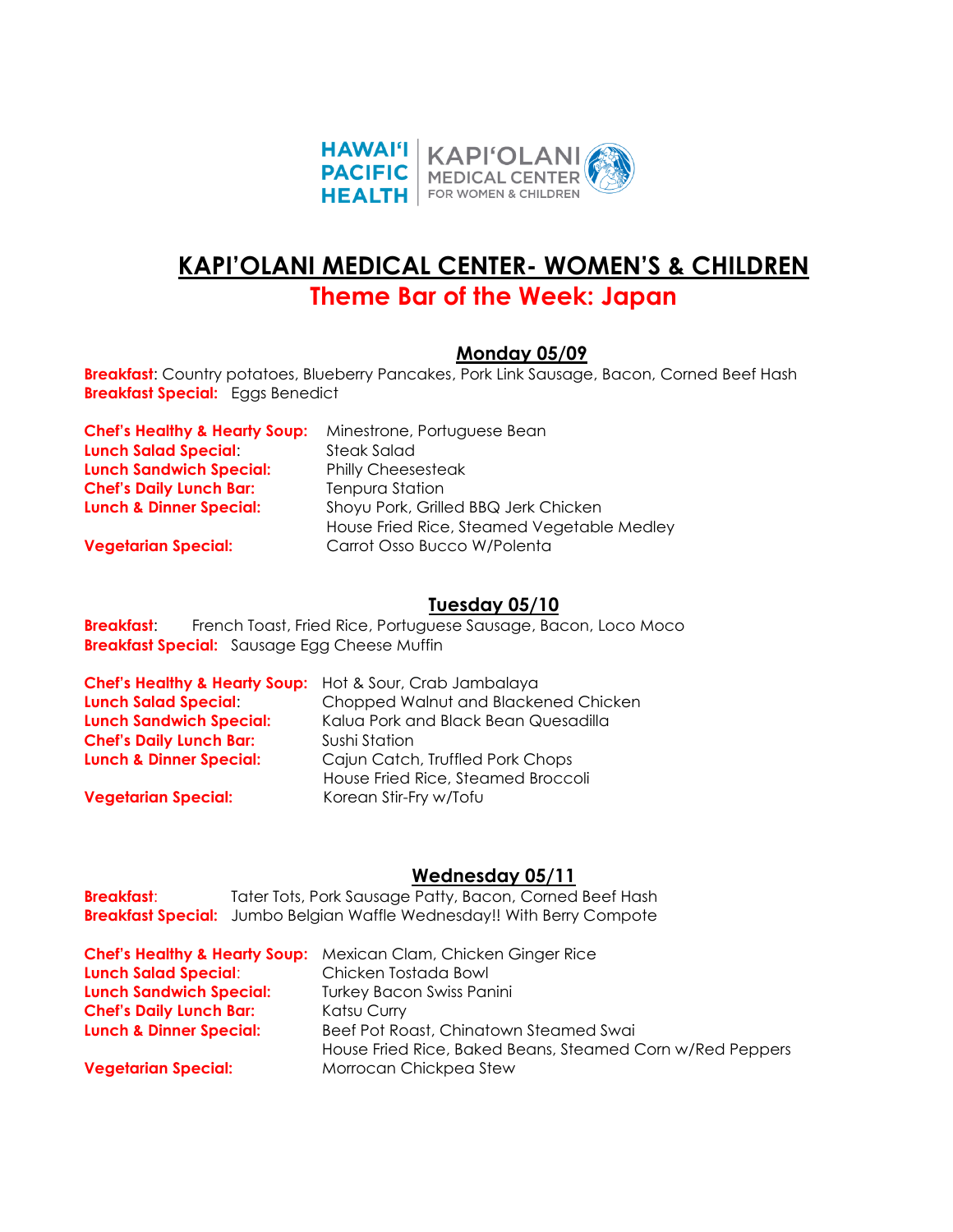

# **KAPI'OLANI MEDICAL CENTER- WOMEN'S & CHILDREN**

## **Theme Bar of the Week: Japan**

#### **Monday 05/09**

**Breakfast**: Country potatoes, Blueberry Pancakes, Pork Link Sausage, Bacon, Corned Beef Hash **Breakfast Special:** Eggs Benedict

| <b>Chef's Healthy &amp; Hearty Soup:</b> | Minestrone, Portuguese Bean                |
|------------------------------------------|--------------------------------------------|
| <b>Lunch Salad Special:</b>              | Steak Salad                                |
| <b>Lunch Sandwich Special:</b>           | <b>Philly Cheesesteak</b>                  |
| <b>Chef's Daily Lunch Bar:</b>           | <b>Tenpura Station</b>                     |
| <b>Lunch &amp; Dinner Special:</b>       | Shoyu Pork, Grilled BBQ Jerk Chicken       |
|                                          | House Fried Rice, Steamed Vegetable Medley |
| <b>Vegetarian Special:</b>               | Carrot Osso Bucco W/Polenta                |

#### **Tuesday 05/10**

**Breakfast:** French Toast, Fried Rice, Portuguese Sausage, Bacon, Loco Moco **Breakfast Special:** Sausage Egg Cheese Muffin

| <b>Chef's Healthy &amp; Hearty Soup:</b> Hot & Sour, Crab Jambalaya |                                      |
|---------------------------------------------------------------------|--------------------------------------|
| <b>Lunch Salad Special:</b>                                         | Chopped Walnut and Blackened Chicken |
| <b>Lunch Sandwich Special:</b>                                      | Kalua Pork and Black Bean Quesadilla |
| <b>Chef's Daily Lunch Bar:</b>                                      | Sushi Station                        |
| <b>Lunch &amp; Dinner Special:</b>                                  | Cajun Catch, Truffled Pork Chops     |
|                                                                     | House Fried Rice, Steamed Broccoli   |
| <b>Vegetarian Special:</b>                                          | Korean Stir-Fry w/Tofu               |

#### **Wednesday 05/11**

| <b>Breakfast:</b> | Tater Tots, Pork Sausage Patty, Bacon, Corned Beef Hash                       |
|-------------------|-------------------------------------------------------------------------------|
|                   | <b>Breakfast Special:</b> Jumbo Belgian Waffle Wednesday!! With Berry Compote |

|                                    | <b>Chef's Healthy &amp; Hearty Soup:</b> Mexican Clam, Chicken Ginger Rice |
|------------------------------------|----------------------------------------------------------------------------|
| <b>Lunch Salad Special:</b>        | Chicken Tostada Bowl                                                       |
| <b>Lunch Sandwich Special:</b>     | <b>Turkey Bacon Swiss Panini</b>                                           |
| <b>Chef's Daily Lunch Bar:</b>     | Katsu Curry                                                                |
| <b>Lunch &amp; Dinner Special:</b> | Beef Pot Roast, Chinatown Steamed Swai                                     |
|                                    | House Fried Rice, Baked Beans, Steamed Corn w/Red Peppers                  |
| <b>Vegetarian Special:</b>         | Morrocan Chickpea Stew                                                     |